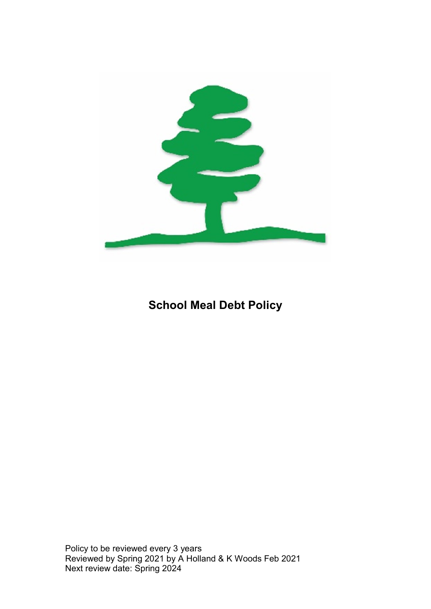

# School Meal Debt Policy

Policy to be reviewed every 3 years Reviewed by Spring 2021 by A Holland & K Woods Feb 2021 Next review date: Spring 2024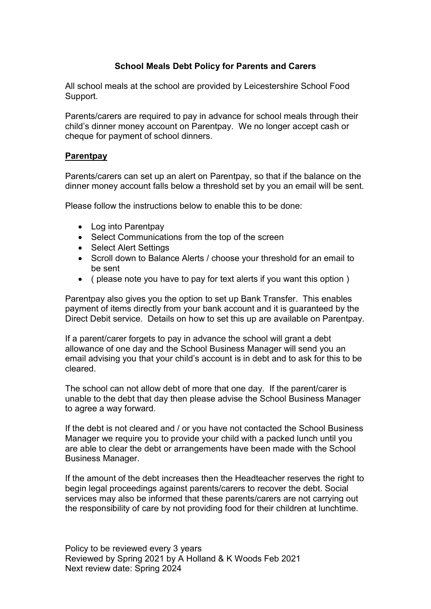## School Meals Debt Policy for Parents and Carers

All school meals at the school are provided by Leicestershire School Food Support.

Parents/carers are required to pay in advance for school meals through their child's dinner money account on Parentpay. We no longer accept cash or cheque for payment of school dinners.

#### **Parentpay**

Parents/carers can set up an alert on Parentpay, so that if the balance on the dinner money account falls below a threshold set by you an email will be sent.

Please follow the instructions below to enable this to be done:

- Log into Parentpay
- Select Communications from the top of the screen
- Select Alert Settings
- Scroll down to Balance Alerts / choose your threshold for an email to be sent
- ( please note you have to pay for text alerts if you want this option )

Parentpay also gives you the option to set up Bank Transfer. This enables payment of items directly from your bank account and it is guaranteed by the Direct Debit service. Details on how to set this up are available on Parentpay.

If a parent/carer forgets to pay in advance the school will grant a debt allowance of one day and the School Business Manager will send you an email advising you that your child's account is in debt and to ask for this to be cleared.

The school can not allow debt of more that one day. If the parent/carer is unable to the debt that day then please advise the School Business Manager to agree a way forward.

If the debt is not cleared and / or you have not contacted the School Business Manager we require you to provide your child with a packed lunch until you are able to clear the debt or arrangements have been made with the School Business Manager.

If the amount of the debt increases then the Headteacher reserves the right to begin legal proceedings against parents/carers to recover the debt. Social services may also be informed that these parents/carers are not carrying out the responsibility of care by not providing food for their children at lunchtime.

Policy to be reviewed every 3 years Reviewed by Spring 2021 by A Holland & K Woods Feb 2021 Next review date: Spring 2024